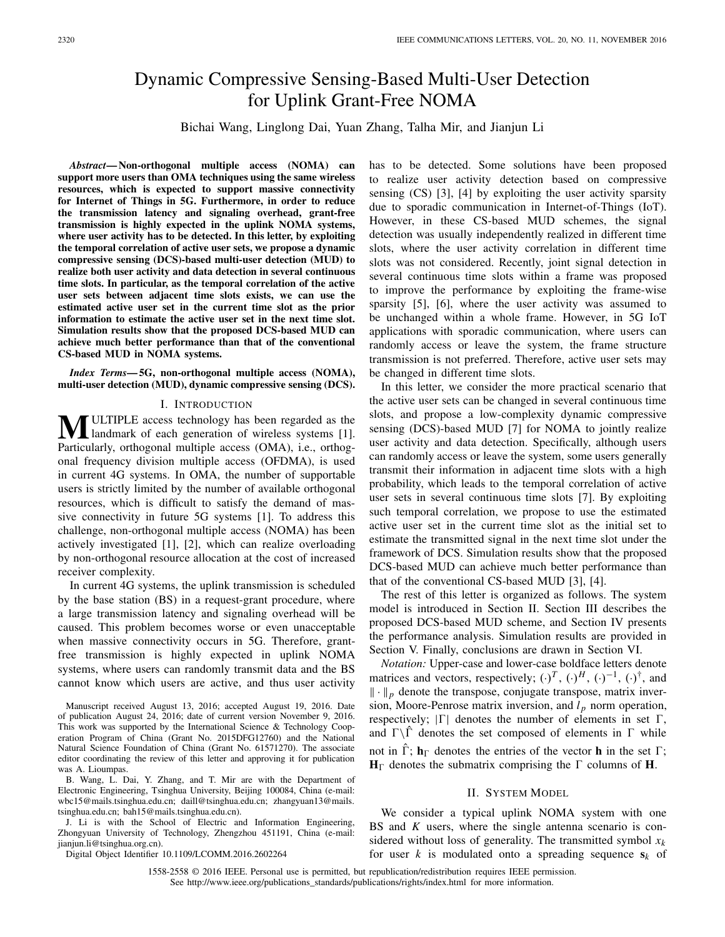# Dynamic Compressive Sensing-Based Multi-User Detection for Uplink Grant-Free NOMA

Bichai Wang, Linglong Dai, Yuan Zhang, Talha Mir, and Jianjun Li

*Abstract***— Non-orthogonal multiple access (NOMA) can support more users than OMA techniques using the same wireless resources, which is expected to support massive connectivity for Internet of Things in 5G. Furthermore, in order to reduce the transmission latency and signaling overhead, grant-free transmission is highly expected in the uplink NOMA systems, where user activity has to be detected. In this letter, by exploiting the temporal correlation of active user sets, we propose a dynamic compressive sensing (DCS)-based multi-user detection (MUD) to realize both user activity and data detection in several continuous time slots. In particular, as the temporal correlation of the active user sets between adjacent time slots exists, we can use the estimated active user set in the current time slot as the prior information to estimate the active user set in the next time slot. Simulation results show that the proposed DCS-based MUD can achieve much better performance than that of the conventional CS-based MUD in NOMA systems.**

*Index Terms***— 5G, non-orthogonal multiple access (NOMA), multi-user detection (MUD), dynamic compressive sensing (DCS).**

### I. INTRODUCTION

**M**ULTIPLE access technology has been regarded as the landmark of each generation of wireless systems [1]. Particularly, orthogonal multiple access (OMA), i.e., orthogonal frequency division multiple access (OFDMA), is used in current 4G systems. In OMA, the number of supportable users is strictly limited by the number of available orthogonal resources, which is difficult to satisfy the demand of massive connectivity in future 5G systems [1]. To address this challenge, non-orthogonal multiple access (NOMA) has been actively investigated [1], [2], which can realize overloading by non-orthogonal resource allocation at the cost of increased receiver complexity.

In current 4G systems, the uplink transmission is scheduled by the base station (BS) in a request-grant procedure, where a large transmission latency and signaling overhead will be caused. This problem becomes worse or even unacceptable when massive connectivity occurs in 5G. Therefore, grantfree transmission is highly expected in uplink NOMA systems, where users can randomly transmit data and the BS cannot know which users are active, and thus user activity

Manuscript received August 13, 2016; accepted August 19, 2016. Date of publication August 24, 2016; date of current version November 9, 2016. This work was supported by the International Science & Technology Cooperation Program of China (Grant No. 2015DFG12760) and the National Natural Science Foundation of China (Grant No. 61571270). The associate editor coordinating the review of this letter and approving it for publication was A. Lioumpas.

B. Wang, L. Dai, Y. Zhang, and T. Mir are with the Department of Electronic Engineering, Tsinghua University, Beijing 100084, China (e-mail: wbc15@mails.tsinghua.edu.cn; daill@tsinghua.edu.cn; zhangyuan13@mails. tsinghua.edu.cn; bah15@mails.tsinghua.edu.cn).

J. Li is with the School of Electric and Information Engineering, Zhongyuan University of Technology, Zhengzhou 451191, China (e-mail: jianjun.li@tsinghua.org.cn).

Digital Object Identifier 10.1109/LCOMM.2016.2602264

has to be detected. Some solutions have been proposed to realize user activity detection based on compressive sensing (CS) [3], [4] by exploiting the user activity sparsity due to sporadic communication in Internet-of-Things (IoT). However, in these CS-based MUD schemes, the signal detection was usually independently realized in different time slots, where the user activity correlation in different time slots was not considered. Recently, joint signal detection in several continuous time slots within a frame was proposed to improve the performance by exploiting the frame-wise sparsity [5], [6], where the user activity was assumed to be unchanged within a whole frame. However, in 5G IoT applications with sporadic communication, where users can randomly access or leave the system, the frame structure transmission is not preferred. Therefore, active user sets may be changed in different time slots.

In this letter, we consider the more practical scenario that the active user sets can be changed in several continuous time slots, and propose a low-complexity dynamic compressive sensing (DCS)-based MUD [7] for NOMA to jointly realize user activity and data detection. Specifically, although users can randomly access or leave the system, some users generally transmit their information in adjacent time slots with a high probability, which leads to the temporal correlation of active user sets in several continuous time slots [7]. By exploiting such temporal correlation, we propose to use the estimated active user set in the current time slot as the initial set to estimate the transmitted signal in the next time slot under the framework of DCS. Simulation results show that the proposed DCS-based MUD can achieve much better performance than that of the conventional CS-based MUD [3], [4].

The rest of this letter is organized as follows. The system model is introduced in Section II. Section III describes the proposed DCS-based MUD scheme, and Section IV presents the performance analysis. Simulation results are provided in Section V. Finally, conclusions are drawn in Section VI.

*Notation:* Upper-case and lower-case boldface letters denote matrices and vectors, respectively;  $(\cdot)^T$ ,  $(\cdot)^H$ ,  $(\cdot)^{-1}$ ,  $(\cdot)^{\dagger}$ , and  $\|\cdot\|_p$  denote the transpose, conjugate transpose, matrix inversion, Moore-Penrose matrix inversion, and  $l_p$  norm operation, respectively;  $|\Gamma|$  denotes the number of elements in set  $\Gamma$ , and  $\Gamma \backslash \hat{\Gamma}$  denotes the set composed of elements in  $\Gamma$  while not in  $\hat{\Gamma}$ ;  $\mathbf{h}_{\Gamma}$  denotes the entries of the vector **h** in the set  $\Gamma$ ;  $H_{\Gamma}$  denotes the submatrix comprising the  $\Gamma$  columns of **H**.

#### II. SYSTEM MODEL

We consider a typical uplink NOMA system with one BS and *K* users, where the single antenna scenario is considered without loss of generality. The transmitted symbol  $x_k$ for user *k* is modulated onto a spreading sequence  $s_k$  of

1558-2558 © 2016 IEEE. Personal use is permitted, but republication/redistribution requires IEEE permission. See http://www.ieee.org/publications\_standards/publications/rights/index.html for more information.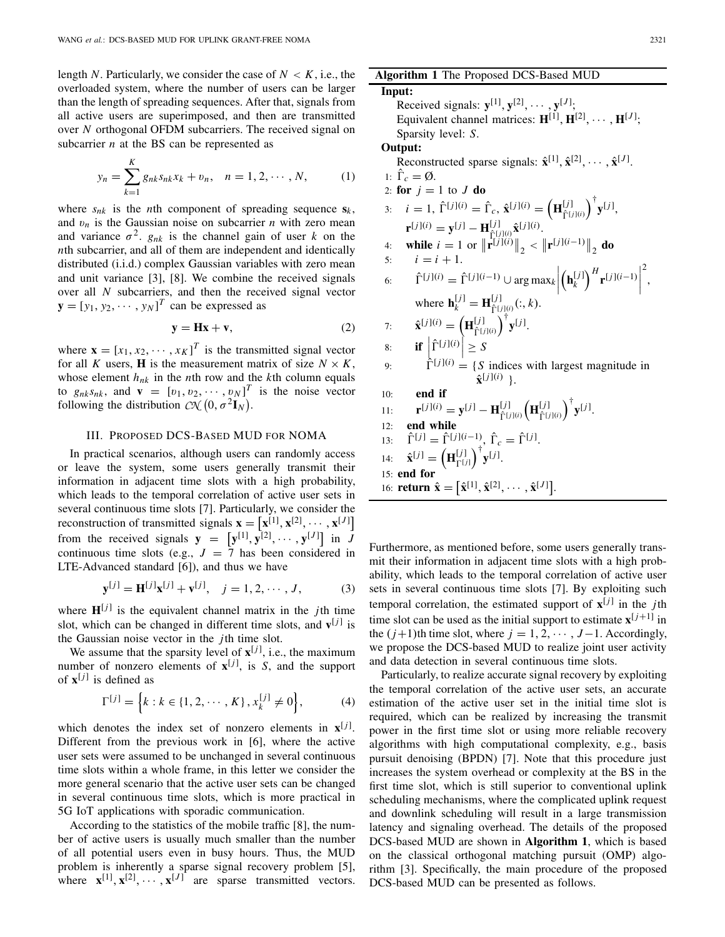length *N*. Particularly, we consider the case of  $N < K$ , i.e., the overloaded system, where the number of users can be larger than the length of spreading sequences. After that, signals from all active users are superimposed, and then are transmitted over *N* orthogonal OFDM subcarriers. The received signal on subcarrier *n* at the BS can be represented as

$$
y_n = \sum_{k=1}^K g_{nk} s_{nk} x_k + v_n, \quad n = 1, 2, \cdots, N,
$$
 (1)

where  $s_{nk}$  is the *n*th component of spreading sequence  $s_k$ , and  $v_n$  is the Gaussian noise on subcarrier *n* with zero mean and variance  $\sigma^2$ .  $g_{nk}$  is the channel gain of user *k* on the *n*th subcarrier, and all of them are independent and identically distributed (i.i.d.) complex Gaussian variables with zero mean and unit variance [3], [8]. We combine the received signals over all *N* subcarriers, and then the received signal vector  $\mathbf{y} = [y_1, y_2, \cdots, y_N]^T$  can be expressed as

$$
y = Hx + v,\t(2)
$$

where  $\mathbf{x} = [x_1, x_2, \dots, x_K]^T$  is the transmitted signal vector for all *K* users, **H** is the measurement matrix of size  $N \times K$ , whose element  $h_{nk}$  in the *n*th row and the *k*th column equals to  $g_{nk} s_{nk}$ , and  $\mathbf{v} = [v_1, v_2, \cdots, v_N]^T$  is the noise vector following the distribution  $\mathcal{CN} (0, \sigma^2 \mathbf{I}_N)$ .

# III. PROPOSED DCS-BASED MUD FOR NOMA

In practical scenarios, although users can randomly access or leave the system, some users generally transmit their information in adjacent time slots with a high probability, which leads to the temporal correlation of active user sets in several continuous time slots [7]. Particularly, we consider the reconstruction of transmitted signals  $\mathbf{x} = [\mathbf{x}^{[1]}, \mathbf{x}^{[2]}, \cdots, \mathbf{x}^{[J]}]$ from the received signals  $y = [y^{[1]}, y^{[2]}, \dots, y^{[J]}]$  in  $\overline{J}$ continuous time slots (e.g.,  $J = 7$  has been considered in LTE-Advanced standard [6]), and thus we have

$$
\mathbf{y}^{[j]} = \mathbf{H}^{[j]} \mathbf{x}^{[j]} + \mathbf{v}^{[j]}, \quad j = 1, 2, \cdots, J,
$$
 (3)

where  $H^{[j]}$  is the equivalent channel matrix in the *j*th time slot, which can be changed in different time slots, and  $\mathbf{v}^{[j]}$  is the Gaussian noise vector in the *j*th time slot.

We assume that the sparsity level of  $\mathbf{x}^{[j]}$ , i.e., the maximum number of nonzero elements of  $x^{[j]}$ , is *S*, and the support of  $\mathbf{x}^{[j]}$  is defined as

$$
\Gamma^{[j]} = \left\{ k : k \in \{1, 2, \cdots, K\}, x_k^{[j]} \neq 0 \right\},\tag{4}
$$

which denotes the index set of nonzero elements in  $\mathbf{x}^{[j]}$ . Different from the previous work in [6], where the active user sets were assumed to be unchanged in several continuous time slots within a whole frame, in this letter we consider the more general scenario that the active user sets can be changed in several continuous time slots, which is more practical in 5G IoT applications with sporadic communication.

According to the statistics of the mobile traffic [8], the number of active users is usually much smaller than the number of all potential users even in busy hours. Thus, the MUD problem is inherently a sparse signal recovery problem [5], where  $\mathbf{x}^{[1]}, \mathbf{x}^{[2]}, \cdots, \mathbf{x}^{[J]}$  are sparse transmitted vectors.

# **Algorithm 1** The Proposed DCS-Based MUD

**Input:** Received signals:  $\mathbf{y}^{[1]}, \mathbf{y}^{[2]}, \cdots, \mathbf{y}^{[J]};$ Equivalent channel matrices:  $H^{[1]}$ ,  $H^{[2]}$ ,  $\cdots$ ,  $H^{[J]}$ ; Sparsity level: *S*. **Output:** Reconstructed sparse signals:  $\hat{\mathbf{x}}^{[1]}, \hat{\mathbf{x}}^{[2]}, \cdots, \hat{\mathbf{x}}^{[J]}$ . 1:  $\hat{\Gamma}_c = \emptyset$ . 2: **for**  $j = 1$  to  $J$  **do** 3:  $i = 1$ ,  $\hat{\Gamma}^{[j](i)} = \hat{\Gamma}_c$ ,  $\hat{\mathbf{x}}^{[j](i)} = (\mathbf{H}_{\hat{\Gamma}^{[j]}(i)}^{[j]})^{\dagger} \mathbf{y}^{[j]},$  $\mathbf{r}^{[j](i)} = \mathbf{y}^{[j]} - \mathbf{H}_{\hat{\Gamma}^{[j](i)}_{i} \hat{\mathbf{x}}^{[j](i)}}^{[j](i)}.$ 4: **while**  $i = 1$  or  $\|\mathbf{r}^{[j](i)}\|_2 < \|\mathbf{r}^{[j](i-1)}\|_2$  **do** 5:  $i = i + 1$ . 6:  $\hat{\Gamma}^{[j](i)} = \hat{\Gamma}^{[j](i-1)} \cup \arg \max_{k} k$  $\left(\mathbf{h}_k^{[j]}\right)^H \mathbf{r}^{[j](i-1)}$ 2 , where  $\mathbf{h}_k^{[j]} = \mathbf{H}_{\hat{\Gamma}^{[j]}(j)}^{[j]}(:,k)$ . 7:  $\hat{\mathbf{x}}^{[j](i)} = (\mathbf{H}_{\hat{\Gamma}^{[j](i)}}^{[j]})^{\dagger} \mathbf{y}^{[j]}.$ 8: **if**  $\left| \right|$ 8: **if**  $\left| \hat{\Gamma}^{[j]}(\hat{\theta}) \right| \geq S$ <br>9:  $\left| \hat{\Gamma}^{[j]}(\hat{\theta}) \right| = \{ S \text{ indices with largest magnitude in } \}$  $\hat{\mathbf{x}}^{[j](i)}$  }. 10: **end if** 11:  $\mathbf{r}^{[j][(i)} = \mathbf{y}^{[j]} - \mathbf{H}_{\hat{\Gamma}^{[j](i)}}^{[j]} \left( \mathbf{H}_{\hat{\Gamma}^{[j](i)}}^{[j]} \right)^{\dagger} \mathbf{y}^{[j]}.$ 12: **end while**  $13:$  $\hat{\Gamma}^{[j]} = \hat{\Gamma}^{[j](i-1)}, \, \hat{\Gamma}_c = \hat{\Gamma}^{[j]}.$ 14:  $\hat{\mathbf{x}}^{[j]} = (\mathbf{H}_{\Gamma^{[j]}}^{[j]})^{\dagger} \mathbf{y}^{[j]}.$ 15: **end for** 16: **return**  $\hat{\mathbf{x}} = [\hat{\mathbf{x}}^{[1]}, \hat{\mathbf{x}}^{[2]}, \cdots, \hat{\mathbf{x}}^{[J]}].$ 

Furthermore, as mentioned before, some users generally transmit their information in adjacent time slots with a high probability, which leads to the temporal correlation of active user sets in several continuous time slots [7]. By exploiting such temporal correlation, the estimated support of  $\mathbf{x}^{[j]}$  in the *j*th time slot can be used as the initial support to estimate  $\mathbf{x}^{[j+1]}$  in the  $(j+1)$ th time slot, where  $j = 1, 2, \cdots, J-1$ . Accordingly, we propose the DCS-based MUD to realize joint user activity and data detection in several continuous time slots.

Particularly, to realize accurate signal recovery by exploiting the temporal correlation of the active user sets, an accurate estimation of the active user set in the initial time slot is required, which can be realized by increasing the transmit power in the first time slot or using more reliable recovery algorithms with high computational complexity, e.g., basis pursuit denoising (BPDN) [7]. Note that this procedure just increases the system overhead or complexity at the BS in the first time slot, which is still superior to conventional uplink scheduling mechanisms, where the complicated uplink request and downlink scheduling will result in a large transmission latency and signaling overhead. The details of the proposed DCS-based MUD are shown in **Algorithm 1**, which is based on the classical orthogonal matching pursuit (OMP) algorithm [3]. Specifically, the main procedure of the proposed DCS-based MUD can be presented as follows.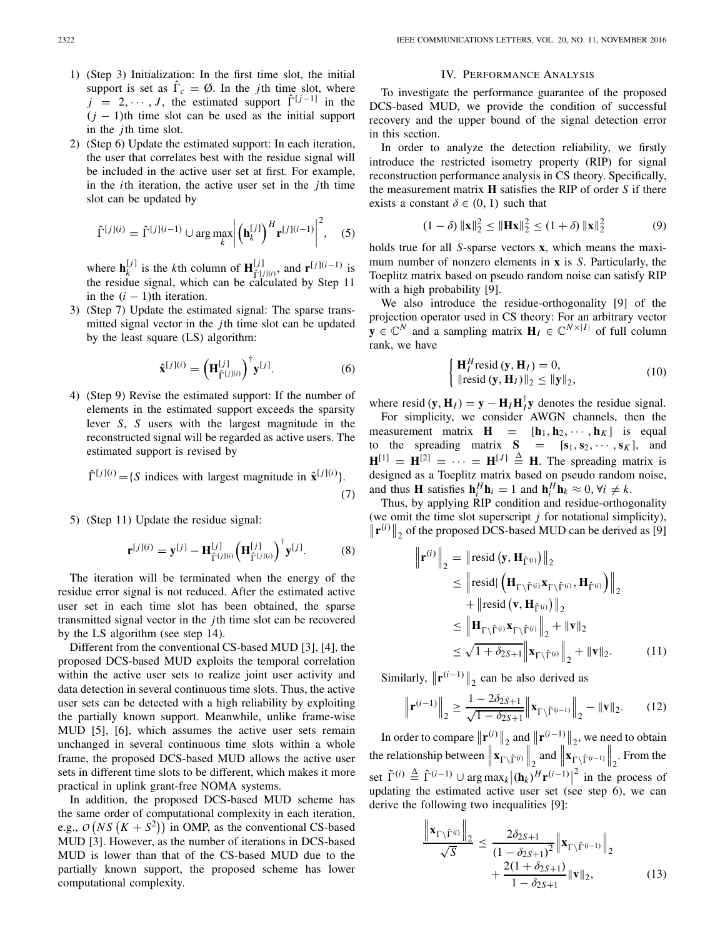- 1) (Step 3) Initialization: In the first time slot, the initial support is set as  $\hat{\Gamma}_c = \emptyset$ . In the *j*th time slot, where  $j = 2, \dots, J$ , the estimated support  $\hat{\Gamma}^{[j-1]}$  in the  $(j - 1)$ th time slot can be used as the initial support in the *j*th time slot.
- 2) (Step 6) Update the estimated support: In each iteration, the user that correlates best with the residue signal will be included in the active user set at first. For example, in the *i*th iteration, the active user set in the *j*th time slot can be updated by

$$
\hat{\Gamma}^{[j](i)} = \hat{\Gamma}^{[j](i-1)} \cup \arg \max_{k} \left| \left(\mathbf{h}_k^{[j]}\right)^H \mathbf{r}^{[j](i-1)} \right|^2, \quad (5)
$$

where  $\mathbf{h}_k^{[j]}$  is the *k*th column of  $\mathbf{H}_{\hat{\Gamma}(j|(i)}^{[j]},$  and  $\mathbf{r}^{[j](i-1)}$  is the residue signal, which can be calculated by Step 11 in the  $(i - 1)$ th iteration.

3) (Step 7) Update the estimated signal: The sparse transmitted signal vector in the *j*th time slot can be updated by the least square (LS) algorithm:

$$
\hat{\mathbf{x}}^{[j](i)} = \left(\mathbf{H}_{\hat{\Gamma}^{[j](i)}}^{[j]}\right)^{\dagger} \mathbf{y}^{[j]}.\tag{6}
$$

4) (Step 9) Revise the estimated support: If the number of elements in the estimated support exceeds the sparsity lever *S*, *S* users with the largest magnitude in the reconstructed signal will be regarded as active users. The estimated support is revised by

$$
\hat{\Gamma}^{[j](i)} = \{ S \text{ indices with largest magnitude in } \hat{\mathbf{x}}^{[j](i)} \}. \tag{7}
$$

5) (Step 11) Update the residue signal:

$$
\mathbf{r}^{[j](i)} = \mathbf{y}^{[j]} - \mathbf{H}_{\hat{\Gamma}^{[j](i)}}^{[j]} \left(\mathbf{H}_{\hat{\Gamma}^{[j](i)}}^{[j]}\right)^{\dagger} \mathbf{y}^{[j]}.
$$
 (8)

The iteration will be terminated when the energy of the residue error signal is not reduced. After the estimated active user set in each time slot has been obtained, the sparse transmitted signal vector in the *j*th time slot can be recovered by the LS algorithm (see step 14).

Different from the conventional CS-based MUD [3], [4], the proposed DCS-based MUD exploits the temporal correlation within the active user sets to realize joint user activity and data detection in several continuous time slots. Thus, the active user sets can be detected with a high reliability by exploiting the partially known support. Meanwhile, unlike frame-wise MUD [5], [6], which assumes the active user sets remain unchanged in several continuous time slots within a whole frame, the proposed DCS-based MUD allows the active user sets in different time slots to be different, which makes it more practical in uplink grant-free NOMA systems.

In addition, the proposed DCS-based MUD scheme has the same order of computational complexity in each iteration, e.g.,  $O(NS(K + S^2))$  in OMP, as the conventional CS-based MUD [3]. However, as the number of iterations in DCS-based MUD is lower than that of the CS-based MUD due to the partially known support, the proposed scheme has lower computational complexity.

#### IV. PERFORMANCE ANALYSIS

To investigate the performance guarantee of the proposed DCS-based MUD, we provide the condition of successful recovery and the upper bound of the signal detection error in this section.

In order to analyze the detection reliability, we firstly introduce the restricted isometry property (RIP) for signal reconstruction performance analysis in CS theory. Specifically, the measurement matrix **H** satisfies the RIP of order *S* if there exists a constant  $\delta \in (0, 1)$  such that

$$
(1 - \delta) \|\mathbf{x}\|_2^2 \le \|\mathbf{H}\mathbf{x}\|_2^2 \le (1 + \delta) \|\mathbf{x}\|_2^2 \tag{9}
$$

holds true for all *S*-sparse vectors **x**, which means the maximum number of nonzero elements in **x** is *S*. Particularly, the Toeplitz matrix based on pseudo random noise can satisfy RIP with a high probability [9].

We also introduce the residue-orthogonality [9] of the projection operator used in CS theory: For an arbitrary vector  $\mathbf{y} \in \mathbb{C}^N$  and a sampling matrix  $\mathbf{H}_I \in \mathbb{C}^{N \times |I|}$  of full column rank, we have

$$
\begin{cases} \mathbf{H}_{I}^{H} \text{resid} \left( \mathbf{y}, \mathbf{H}_{I} \right) = 0, \\ \|\text{resid} \left( \mathbf{y}, \mathbf{H}_{I} \right) \|_{2} \leq \| \mathbf{y} \|_{2}, \end{cases}
$$
 (10)

where resid  $(\mathbf{y}, \mathbf{H}_I) = \mathbf{y} - \mathbf{H}_I \mathbf{H}_I^{\dagger} \mathbf{y}$  denotes the residue signal.

For simplicity, we consider AWGN channels, then the measurement matrix  $\mathbf{H} = [\mathbf{h}_1, \mathbf{h}_2, \cdots, \mathbf{h}_K]$  is equal to the spreading matrix  $S = [\mathbf{s}_1, \mathbf{s}_2, \cdots, \mathbf{s}_K]$ , and  $\mathbf{H}^{[1]} = \mathbf{H}^{[2]} = \cdots = \mathbf{H}^{[J]} \stackrel{\Delta}{=} \mathbf{H}$ . The spreading matrix is designed as a Toeplitz matrix based on pseudo random noise, and thus **H** satisfies  $\mathbf{h}_i^H \mathbf{h}_i = 1$  and  $\mathbf{h}_i^H \mathbf{h}_k \approx 0, \forall i \neq k$ .

Thus, by applying RIP condition and residue-orthogonality (we omit the time slot superscript *j* for notational simplicity),  $\|\mathbf{r}^{(i)}\|_2$  of the proposed DCS-based MUD can be derived as [9]

$$
\|\mathbf{r}^{(i)}\|_{2} = \|\text{resid}\left(\mathbf{y}, \mathbf{H}_{\hat{\Gamma}^{(i)}}\right)\|_{2}
$$
\n
$$
\leq \|\text{resid}\left(\mathbf{H}_{\Gamma\setminus\hat{\Gamma}^{(i)}}\mathbf{x}_{\Gamma\setminus\hat{\Gamma}^{(i)}}, \mathbf{H}_{\hat{\Gamma}^{(i)}}\right)\|_{2}
$$
\n
$$
+ \|\text{resid}\left(\mathbf{v}, \mathbf{H}_{\hat{\Gamma}^{(i)}}\right)\|_{2}
$$
\n
$$
\leq \|\mathbf{H}_{\Gamma\setminus\hat{\Gamma}^{(i)}}\mathbf{x}_{\Gamma\setminus\hat{\Gamma}^{(i)}}\|_{2} + \|\mathbf{v}\|_{2}
$$
\n
$$
\leq \sqrt{1 + \delta_{2S+1}} \|\mathbf{x}_{\Gamma\setminus\hat{\Gamma}^{(i)}}\|_{2} + \|\mathbf{v}\|_{2}.
$$
\n(11)

Similarly,  $\|\mathbf{r}^{(i-1)}\|_2$  can be also derived as

 $\mathbf{u}$ 

 $\mathbf{u}$ 

$$
\left\| \mathbf{r}^{(i-1)} \right\|_2 \ge \frac{1 - 2\delta_{2S+1}}{\sqrt{1 - \delta_{2S+1}}} \left\| \mathbf{x}_{\Gamma \setminus \hat{\Gamma}^{(i-1)}} \right\|_2 - \|\mathbf{v}\|_2. \tag{12}
$$

In order to compare  $\|\mathbf{r}_{\parallel}^{(i)}\|_2$  and  $\|\mathbf{r}_{\parallel}^{(i-1)}\|_2$ , we need to obtain the relationship between  $\|\mathbf{x}_{\Gamma \setminus \hat{\Gamma}^{(i)}}\|_2$  and  $\|\mathbf{x}_{\Gamma \setminus \hat{\Gamma}^{(i-1)}}\|_2$ . From the set  $\tilde{\Gamma}^{(i)} \stackrel{\Delta}{=} \hat{\Gamma}^{(i-1)} \cup \arg \max_{k} |(\mathbf{h}_k)^H \mathbf{r}^{(i-1)}|^2$  in the process of updating the estimated active user set (see step 6), we can derive the following two inequalities [9]:

$$
\frac{\|\mathbf{x}_{\Gamma\backslash\tilde{\Gamma}^{(i)}}\|_{2}}{\sqrt{S}} \leq \frac{2\delta_{2S+1}}{(1-\delta_{2S+1})^{2}} \|\mathbf{x}_{\Gamma\backslash\hat{\Gamma}^{(i-1)}}\|_{2} + \frac{2(1+\delta_{2S+1})}{1-\delta_{2S+1}} \|\mathbf{v}\|_{2},
$$
\n(13)